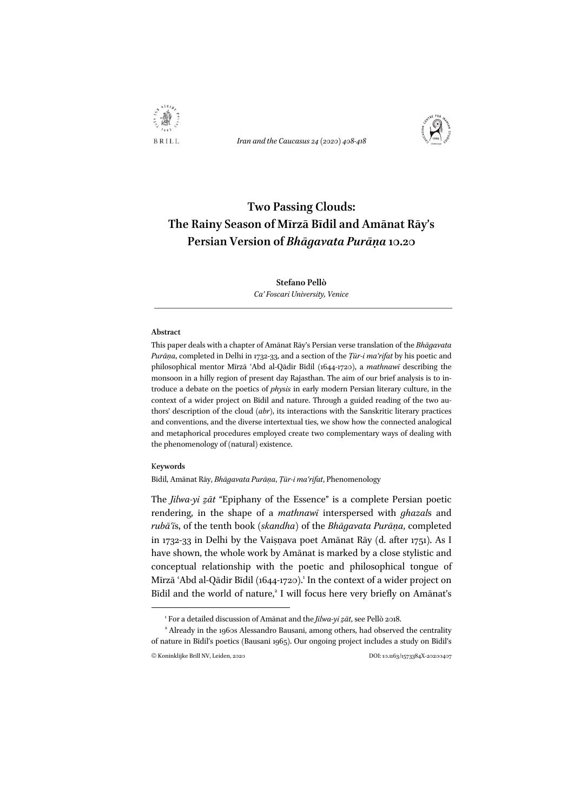

*Iran and the Caucasus 24 (2020) 408-418*



# **Two Passing Clouds: The Rainy Season of Mīrzā Bīdil and Amānat Rāy's Persian Version of** *Bhāgavata Purāṇa* **10.20**

# **Stefano Pellò** *Ca' Foscari University, Venice*

#### **Abstract**

This paper deals with a chapter of Amānat Rāy's Persian verse translation of the *Bhāgavata Purāṇa*, completed in Delhi in 1732-33, and a section of the *Ṭūr-i maʿrifat* by his poetic and philosophical mentor Mīrzā ʿAbd al-Qādir Bīdil (1644-1720), a *mathnawī* describing the monsoon in a hilly region of present day Rajasthan. The aim of our brief analysis is to introduce a debate on the poetics of *physis* in early modern Persian literary culture, in the context of a wider project on Bīdil and nature. Through a guided reading of the two authors' description of the cloud (*abr*), its interactions with the Sanskritic literary practices and conventions, and the diverse intertextual ties, we show how the connected analogical and metaphorical procedures employed create two complementary ways of dealing with the phenomenology of (natural) existence.

## K**eywords**

Bīdil, Amānat Rāy, *Bhāgavata Purāṇa*, *Ṭūr-i maʿrifat*, Phenomenology

The *Jilwa-yi zāt* "Epiphany of the Essence" is a complete Persian poetic rendering, in the shape of a *mathnawī* interspersed with *ghazal*s and *rubāʿī*s, of the tenth book (*skandha*) of the *Bhāgavata Purāṇa*, completed in 1732-33 in Delhi by the Vaiṣṇava poet Amānat Rāy (d. after 1751). As I have shown, the whole work by Amānat is marked by a close stylistic and conceptual relationship with the poetic and philosophical tongue of Mīrzā ʿAbd al-Qādir Bīdil (1644-1720).<sup>1</sup> In the context of a wider project on Bīdil and the world of nature,<sup>2</sup> I will focus here very briefly on Amānat's

<sup>&</sup>lt;sup>1</sup> For a detailed discussion of Amānat and the *Jilwa-yi*  $z$ *āt*, see Pellò 2018.

<sup>©</sup> Koninklijke Brill NV, Leiden, 2020 <sup>2</sup> Already in the 1960s Alessandro Bausani, among others, had observed the centrality of nature in Bīdil's poetics (Bausani 1965). Our ongoing project includes a study on Bīdil's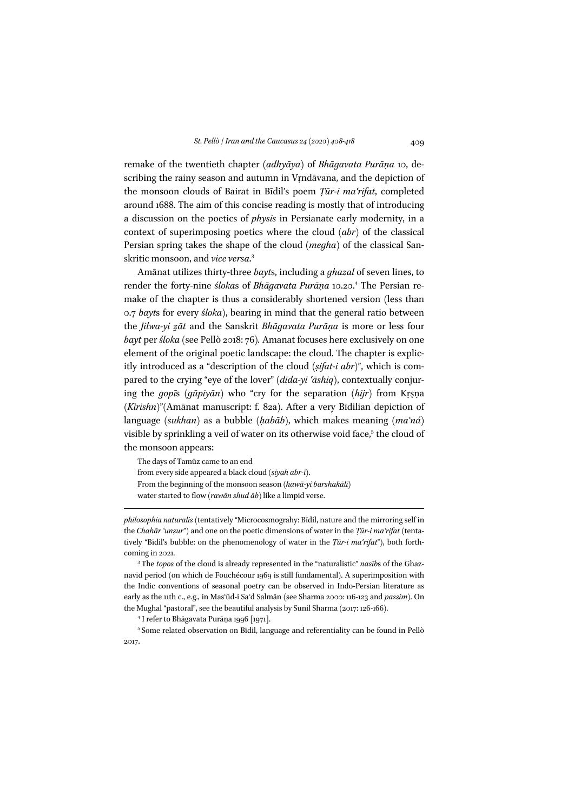remake of the twentieth chapter (*adhyāya*) of *Bhāgavata Purāṇa* 10, describing the rainy season and autumn in Vrndāvana, and the depiction of the monsoon clouds of Bairat in Bīdil's poem *Ṭūr-i maʿrifat*, completed around 1688. The aim of this concise reading is mostly that of introducing a discussion on the poetics of *physis* in Persianate early modernity, in a context of superimposing poetics where the cloud (*abr*) of the classical Persian spring takes the shape of the cloud (*megha*) of the classical Sanskritic monsoon, and *vice versa*. 3

Amānat utilizes thirty-three *bayt*s, including a *ghazal* of seven lines, to render the forty-nine *śloka*s of *Bhāgavata Purāṇa* 10.20.4 The Persian remake of the chapter is thus a considerably shortened version (less than 0.7 *bayt*s for every *śloka*), bearing in mind that the general ratio between the *Jilwa-yi ẕāt* and the Sanskrit *Bhāgavata Purāṇa* is more or less four *bayt* per *śloka* (see Pellò 2018: 76)*.* Amanat focuses here exclusively on one element of the original poetic landscape: the cloud. The chapter is explicitly introduced as a "description of the cloud (*ṣifat-i abr*)", which is compared to the crying "eye of the lover" (*dīda-yi ʿāshiq*), contextually conjuring the *gopī*s (*gūpiyān*) who "cry for the separation (*hijr*) from Kṛṣṇa (*Kirishn*)"(Amānat manuscript: f. 82a). After a very Bīdilian depiction of language (*sukhan*) as a bubble (*ḥabāb*), which makes meaning (*maʿná*) visible by sprinkling a veil of water on its otherwise void face,<sup>5</sup> the cloud of the monsoon appears:

The days of Tamūz came to an end from every side appeared a black cloud (*siyah abr-ī)*. From the beginning of the monsoon season (*hawā-yi barshakālī*) water started to flow (*rawān shud āb*) like a limpid verse.

*philosophia naturalis* (tentatively "Microcosmograhy: Bīdil, nature and the mirroring self in the *Chahār ʿunṣur*") and one on the poetic dimensions of water in the *Ṭūr-i maʿrifat* (tentatively "Bīdil's bubble: on the phenomenology of water in the *Ṭūr-i maʿrifat*"), both forthcoming in 2021.

<sup>3</sup> The *topos* of the cloud is already represented in the "naturalistic" *nasīb*s of the Ghaznavid period (on which de Fouchécour 1969 is still fundamental). A superimposition with the Indic conventions of seasonal poetry can be observed in Indo-Persian literature as early as the 11th c., e.g., in Masʿūd-i Saʿd Salmān (see Sharma 2000: 116-123 and *passim*). On the Mughal "pastoral", see the beautiful analysis by Sunil Sharma (2017: 126-166).

<sup>4</sup> I refer to Bhāgavata Purāṇa 1996 [1971].

<sup>5</sup> Some related observation on Bīdil, language and referentiality can be found in Pellò 2017.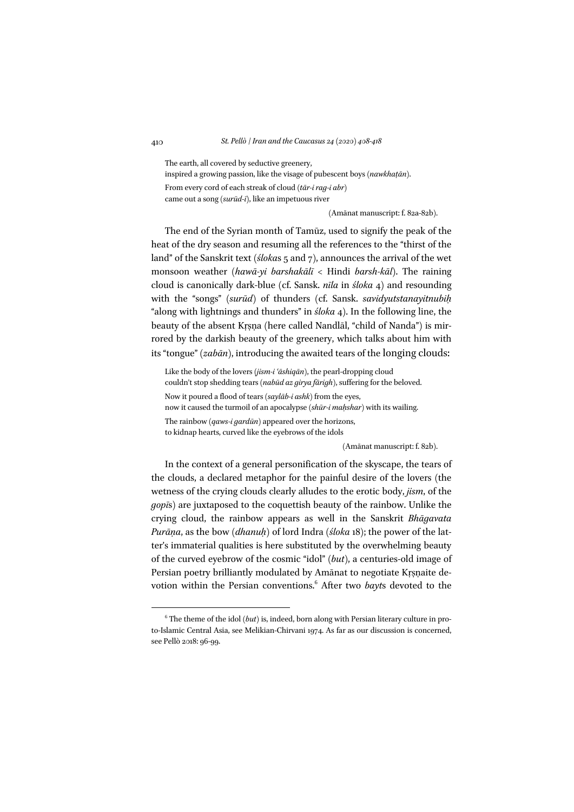The earth, all covered by seductive greenery, inspired a growing passion, like the visage of pubescent boys (*nawkhaṭān)*. From every cord of each streak of cloud (*tār-i rag-i abr*) came out a song (*surūd-ī*), like an impetuous river

(Amānat manuscript: f. 82a-82b).

The end of the Syrian month of Tamūz, used to signify the peak of the heat of the dry season and resuming all the references to the "thirst of the land" of the Sanskrit text (*śloka*s 5 and 7), announces the arrival of the wet monsoon weather (*hawā-yi barshakālī <* Hindi *barsh-kāl*). The raining cloud is canonically dark-blue (cf. Sansk. *nīla* in *śloka* 4) and resounding with the "songs" (*surūd*) of thunders (cf. Sansk. *savidyutstanayitnubiḥ* "along with lightnings and thunders" in *śloka* 4). In the following line, the beauty of the absent Kṛṣṇa (here called Nandlāl, "child of Nanda") is mirrored by the darkish beauty of the greenery, which talks about him with its "tongue" (*zabān*), introducing the awaited tears of the longing clouds:

Like the body of the lovers (*jism-i ʿāshiqān*), the pearl-dropping cloud couldn't stop shedding tears (*nabūd az girya fārigh*), suffering for the beloved. Now it poured a flood of tears (*saylāb-i ashk*) from the eyes, now it caused the turmoil of an apocalypse (*shūr-i maḥshar*) with its wailing. The rainbow (*qaws-i gardūn*) appeared over the horizons, to kidnap hearts, curved like the eyebrows of the idols

(Amānat manuscript: f. 82b).

In the context of a general personification of the skyscape, the tears of the clouds, a declared metaphor for the painful desire of the lovers (the wetness of the crying clouds clearly alludes to the erotic body, *jism*, of the *gopī*s) are juxtaposed to the coquettish beauty of the rainbow. Unlike the crying cloud, the rainbow appears as well in the Sanskrit *Bhāgavata Purāṇa*, as the bow (*dhanuḥ*) of lord Indra (*śloka* 18); the power of the latter's immaterial qualities is here substituted by the overwhelming beauty of the curved eyebrow of the cosmic "idol" (*but*), a centuries-old image of Persian poetry brilliantly modulated by Amānat to negotiate Kṛṣṇaite devotion within the Persian conventions.<sup>6</sup> After two *bayts* devoted to the

 $6$  The theme of the idol (*but*) is, indeed, born along with Persian literary culture in proto-Islamic Central Asia, see Melikian-Chirvani 1974. As far as our discussion is concerned, see Pellò 2018: 96-99.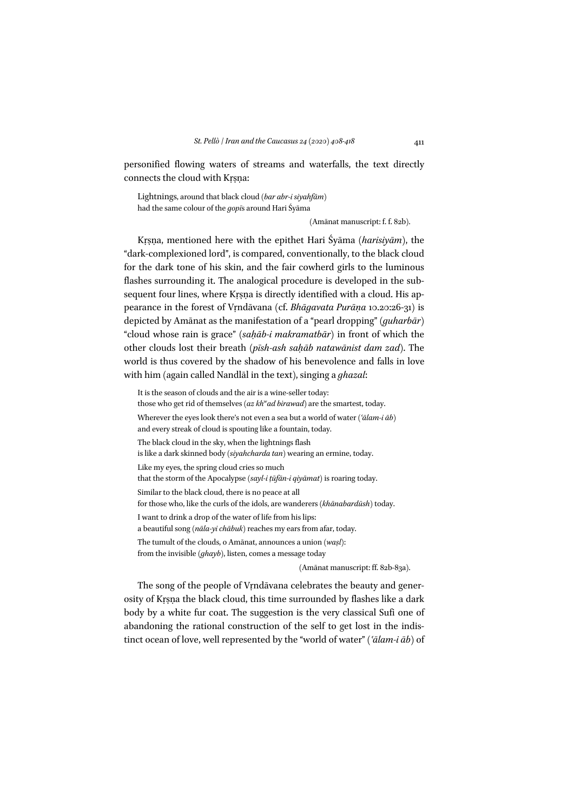personified flowing waters of streams and waterfalls, the text directly connects the cloud with Kṛṣṇa:

Lightnings, around that black cloud (*bar abr-i siyahfām*) had the same colour of the *gopī*s around Hari Śyāma

(Amānat manuscript: f. f. 82b).

Kṛṣṇa, mentioned here with the epithet Hari Śyāma (*harisiyām*), the "dark-complexioned lord", is compared, conventionally, to the black cloud for the dark tone of his skin, and the fair cowherd girls to the luminous flashes surrounding it. The analogical procedure is developed in the subsequent four lines, where Kṛṣṇa is directly identified with a cloud. His appearance in the forest of Vṛndāvana (cf. *Bhāgavata Purāṇa* 10.20:26-31) is depicted by Amānat as the manifestation of a "pearl dropping" (*guharbār*) "cloud whose rain is grace" (*saḥāb-i makramatbār*) in front of which the other clouds lost their breath (*pīsh-ash saḥāb natawānist dam zad*). The world is thus covered by the shadow of his benevolence and falls in love with him (again called Nandlāl in the text), singing a *ghazal*:

It is the season of clouds and the air is a wine-seller today: those who get rid of themselves (az kh<sup>w</sup>ad birawad) are the smartest, today. Wherever the eyes look there's not even a sea but a world of water (*ʿālam-i āb*) and every streak of cloud is spouting like a fountain, today. The black cloud in the sky, when the lightnings flash is like a dark skinned body (*siyahcharda tan*) wearing an ermine, today. Like my eyes, the spring cloud cries so much that the storm of the Apocalypse (*sayl-i ṭūfān-i qiyāmat*) is roaring today. Similar to the black cloud, there is no peace at all for those who, like the curls of the idols, are wanderers (*khānabardūsh*) today. I want to drink a drop of the water of life from his lips: a beautiful song (*nāla-yi chābuk*) reaches my ears from afar, today. The tumult of the clouds, o Amānat, announces a union (*waṣl*): from the invisible (*ghayb*), listen, comes a message today

(Amānat manuscript: ff. 82b-83a).

The song of the people of Vṛndāvana celebrates the beauty and generosity of Kṛṣṇa the black cloud, this time surrounded by flashes like a dark body by a white fur coat. The suggestion is the very classical Sufi one of abandoning the rational construction of the self to get lost in the indistinct ocean of love, well represented by the "world of water" (*ʿālam-i āb*) of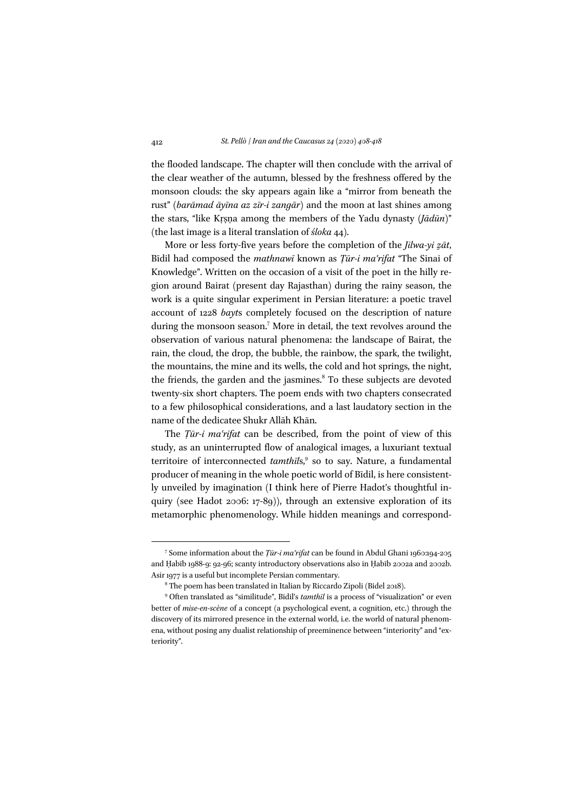the flooded landscape. The chapter will then conclude with the arrival of the clear weather of the autumn, blessed by the freshness offered by the monsoon clouds: the sky appears again like a "mirror from beneath the rust" (*barāmad āyīna az zīr-i zangār*) and the moon at last shines among the stars, "like Kṛṣṇa among the members of the Yadu dynasty (*Jādūn*)" (the last image is a literal translation of *śloka* 44).

More or less forty-five years before the completion of the *Jilwa-yi zāt*, Bīdil had composed the *mathnawī* known as *Ṭūr-i maʿrifat* "The Sinai of Knowledge". Written on the occasion of a visit of the poet in the hilly region around Bairat (present day Rajasthan) during the rainy season, the work is a quite singular experiment in Persian literature: a poetic travel account of 1228 *bayt*s completely focused on the description of nature during the monsoon season.<sup>7</sup> More in detail, the text revolves around the observation of various natural phenomena: the landscape of Bairat, the rain, the cloud, the drop, the bubble, the rainbow, the spark, the twilight, the mountains, the mine and its wells, the cold and hot springs, the night, the friends, the garden and the jasmines.<sup>8</sup> To these subjects are devoted twenty-six short chapters. The poem ends with two chapters consecrated to a few philosophical considerations, and a last laudatory section in the name of the dedicatee Shukr Allāh Khān.

The *Ṭūr-i maʿrifat* can be described, from the point of view of this study, as an uninterrupted flow of analogical images, a luxuriant textual territoire of interconnected *tamthils*,<sup>9</sup> so to say. Nature, a fundamental producer of meaning in the whole poetic world of Bīdil, is here consistently unveiled by imagination (I think here of Pierre Hadot's thoughtful inquiry (see Hadot 2006: 17-89)), through an extensive exploration of its metamorphic phenomenology. While hidden meanings and correspond-

<sup>7</sup> Some information about the *Ṭūr-i maʿrifat* can be found in Abdul Ghani 1960:194-205 and Ḥabīb 1988-9: 92-96; scanty introductory observations also in Ḥabīb 2002a and 2002b. Asir 1977 is a useful but incomplete Persian commentary.

<sup>8</sup> The poem has been translated in Italian by Riccardo Zipoli (Bidel 2018).

<sup>9</sup> Often translated as "similitude", Bīdil's *tamthīl* is a process of "visualization" or even better of *mise-en-scène* of a concept (a psychological event, a cognition, etc.) through the discovery of its mirrored presence in the external world, i.e. the world of natural phenomena, without posing any dualist relationship of preeminence between "interiority" and "exteriority".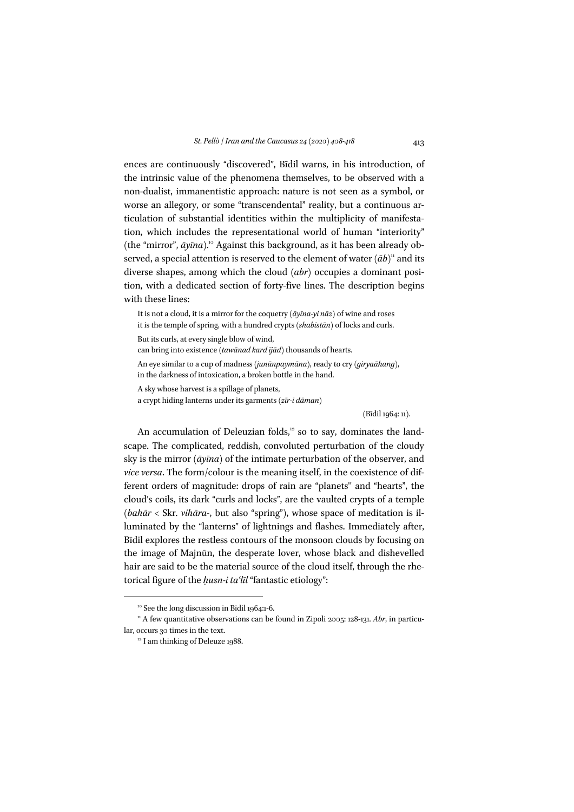ences are continuously "discovered", Bīdil warns, in his introduction, of the intrinsic value of the phenomena themselves, to be observed with a non-dualist, immanentistic approach: nature is not seen as a symbol, or worse an allegory, or some "transcendental" reality, but a continuous articulation of substantial identities within the multiplicity of manifestation, which includes the representational world of human "interiority" (the "mirror",  $\bar{a}$ *y* $\bar{a}$ *na*).<sup>10</sup> Against this background, as it has been already observed, a special attention is reserved to the element of water  $(\bar{a}b)^n$  and its diverse shapes, among which the cloud (*abr*) occupies a dominant position, with a dedicated section of forty-five lines. The description begins with these lines:

It is not a cloud, it is a mirror for the coquetry (*āyīna-yi nāz*) of wine and roses it is the temple of spring, with a hundred crypts (*shabistān*) of locks and curls.

But its curls, at every single blow of wind,

can bring into existence (*tawānad kard ījād*) thousands of hearts.

An eye similar to a cup of madness (*junūnpaymāna*), ready to cry (*giryaāhang*), in the darkness of intoxication, a broken bottle in the hand.

A sky whose harvest is a spillage of planets,

a crypt hiding lanterns under its garments (*zīr-i dāman*)

(Bīdil 1964: 11).

An accumulation of Deleuzian folds, $12$  so to say, dominates the landscape. The complicated, reddish, convoluted perturbation of the cloudy sky is the mirror (*āyīna*) of the intimate perturbation of the observer, and *vice versa*. The form/colour is the meaning itself, in the coexistence of different orders of magnitude: drops of rain are "planets'' and "hearts", the cloud's coils, its dark "curls and locks", are the vaulted crypts of a temple (*bahār <* Skr. *vihāra-*, but also "spring"), whose space of meditation is illuminated by the "lanterns" of lightnings and flashes. Immediately after, Bīdil explores the restless contours of the monsoon clouds by focusing on the image of Majnūn, the desperate lover, whose black and dishevelled hair are said to be the material source of the cloud itself, through the rhetorical figure of the *ḥusn-i taʿlīl* "fantastic etiology":

<sup>&</sup>lt;sup>10</sup> See the long discussion in Bīdil 1964:1-6.

<sup>&</sup>lt;sup>11</sup> A few quantitative observations can be found in Zipoli 2005: 128-131. *Abr*, in particular, occurs 30 times in the text.

<sup>&</sup>lt;sup>12</sup> I am thinking of Deleuze 1988.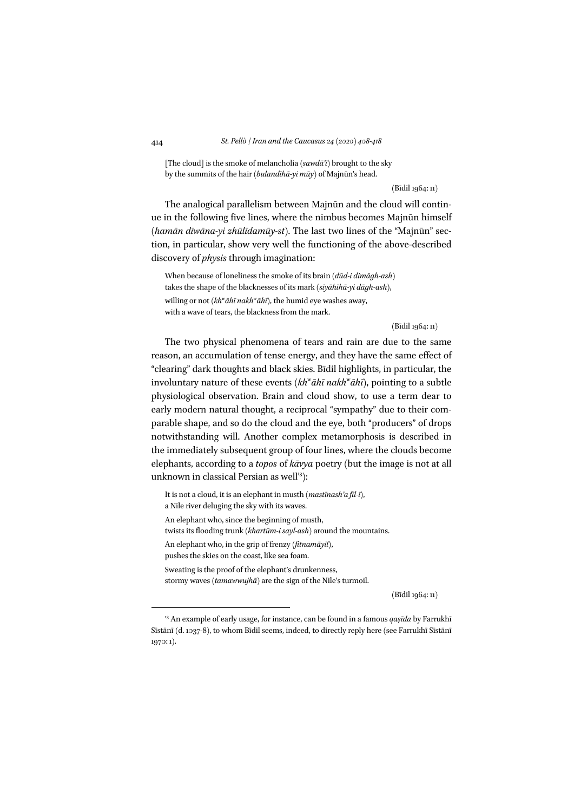[The cloud] is the smoke of melancholia (*sawdā'ī*) brought to the sky by the summits of the hair (*bulandīhā-yi mūy*) of Majnūn's head.

(Bīdil 1964: 11)

The analogical parallelism between Majnūn and the cloud will continue in the following five lines, where the nimbus becomes Majnūn himself (*hamān dīwāna-yi zhūlīdamūy-st*). The last two lines of the "Majnūn" section, in particular, show very well the functioning of the above-described discovery of *physis* through imagination:

When because of loneliness the smoke of its brain (*dūd-i dimāgh-ash*) takes the shape of the blacknesses of its mark (*siyāhīhā-yi dāgh-ash*), willing or not (*khw āhī nakhw āhī*), the humid eye washes away, with a wave of tears, the blackness from the mark.

(Bīdil 1964: 11)

The two physical phenomena of tears and rain are due to the same reason, an accumulation of tense energy, and they have the same effect of "clearing" dark thoughts and black skies. Bīdil highlights, in particular, the involuntary nature of these events (kh<sup>w</sup>āhī nakh<sup>w</sup>āhī), pointing to a subtle physiological observation. Brain and cloud show, to use a term dear to early modern natural thought, a reciprocal "sympathy" due to their comparable shape, and so do the cloud and the eye, both "producers" of drops notwithstanding will. Another complex metamorphosis is described in the immediately subsequent group of four lines, where the clouds become elephants, according to a *topos* of *kāvya* poetry (but the image is not at all unknown in classical Persian as well<sup>13</sup>):

It is not a cloud, it is an elephant in musth (*mastīnash'a fīl-ī*), a Nile river deluging the sky with its waves. An elephant who, since the beginning of musth, twists its flooding trunk (*khartūm-i sayl-ash*) around the mountains. An elephant who, in the grip of frenzy (*fitnamāyil*), pushes the skies on the coast, like sea foam. Sweating is the proof of the elephant's drunkenness, stormy waves (*tamawwujhā*) are the sign of the Nile's turmoil.

(Bīdil 1964: 11)

<sup>13</sup> An example of early usage, for instance, can be found in a famous *qaṣīda* by Farrukhī Sīstānī (d. 1037-8), to whom Bīdil seems, indeed, to directly reply here (see Farrukhī Sīstānī 1970: 1).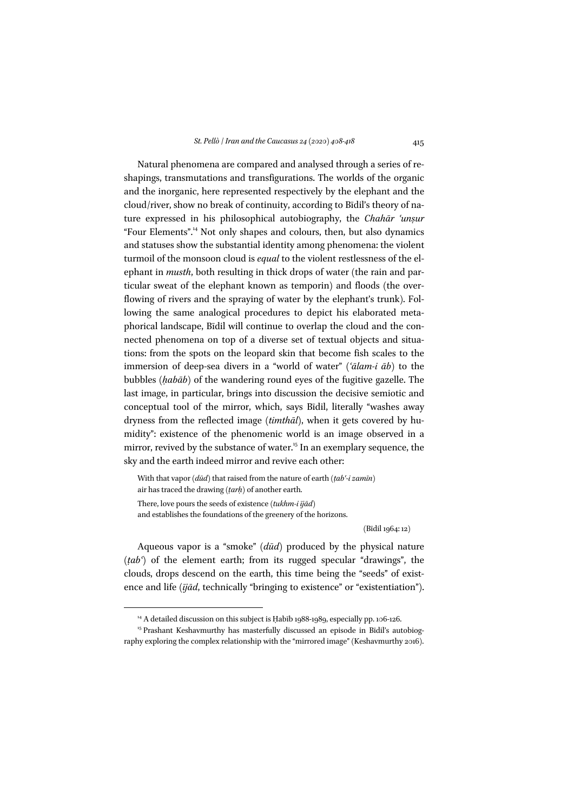Natural phenomena are compared and analysed through a series of reshapings, transmutations and transfigurations. The worlds of the organic and the inorganic, here represented respectively by the elephant and the cloud/river, show no break of continuity, according to Bīdil's theory of nature expressed in his philosophical autobiography, the *Chahār ʿunṣur*  "Four Elements".<sup>14</sup> Not only shapes and colours, then, but also dynamics and statuses show the substantial identity among phenomena: the violent turmoil of the monsoon cloud is *equal* to the violent restlessness of the elephant in *musth*, both resulting in thick drops of water (the rain and particular sweat of the elephant known as temporin) and floods (the overflowing of rivers and the spraying of water by the elephant's trunk). Following the same analogical procedures to depict his elaborated metaphorical landscape, Bīdil will continue to overlap the cloud and the connected phenomena on top of a diverse set of textual objects and situations: from the spots on the leopard skin that become fish scales to the immersion of deep-sea divers in a "world of water" (*ʿālam-i āb*) to the bubbles (*ḥabāb*) of the wandering round eyes of the fugitive gazelle. The last image, in particular, brings into discussion the decisive semiotic and conceptual tool of the mirror, which, says Bīdil, literally "washes away dryness from the reflected image (*timthāl*), when it gets covered by humidity": existence of the phenomenic world is an image observed in a mirror, revived by the substance of water.<sup>15</sup> In an exemplary sequence, the sky and the earth indeed mirror and revive each other:

With that vapor (*dūd*) that raised from the nature of earth (*ṭabʿ-i zamīn*) air has traced the drawing (*ṭarḥ*) of another earth. There, love pours the seeds of existence (*tukhm-i ījād*) and establishes the foundations of the greenery of the horizons.

(Bīdil 1964: 12)

Aqueous vapor is a "smoke" (*dūd*) produced by the physical nature (*ṭabʿ*) of the element earth; from its rugged specular "drawings", the clouds, drops descend on the earth, this time being the "seeds" of existence and life (*ījād*, technically "bringing to existence" or "existentiation").

<sup>&</sup>lt;sup>14</sup> A detailed discussion on this subject is Habīb 1988-1989, especially pp. 106-126.

<sup>&</sup>lt;sup>15</sup> Prashant Keshavmurthy has masterfully discussed an episode in Bīdil's autobiography exploring the complex relationship with the "mirrored image" (Keshavmurthy 2016).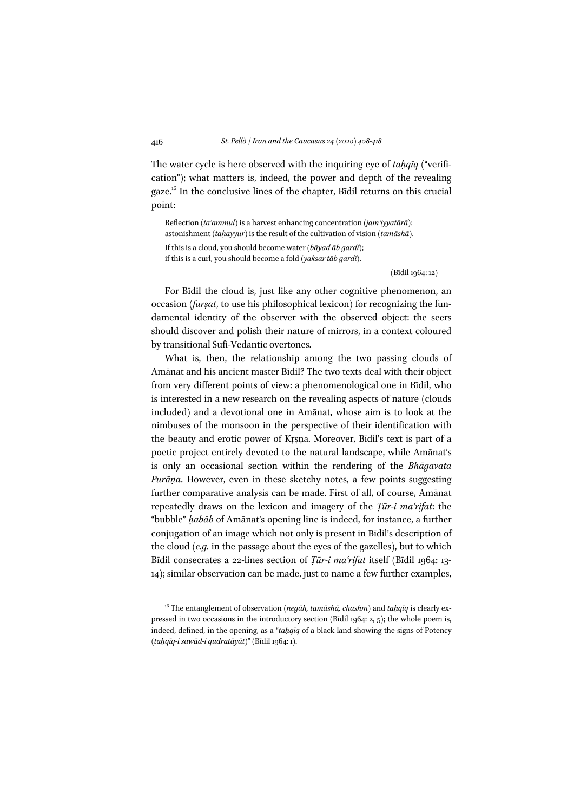The water cycle is here observed with the inquiring eye of *taḥqīq* ("verification"); what matters is, indeed, the power and depth of the revealing gaze.<sup>16</sup> In the conclusive lines of the chapter, Bidil returns on this crucial point:

Reflection (*ta'ammul*) is a harvest enhancing concentration (*jamʿiyyatārā*): astonishment (*taḥayyur*) is the result of the cultivation of vision (*tamāshā*). If this is a cloud, you should become water (*bāyad āb gardī*); if this is a curl, you should become a fold (*yaksar tāb gardī*).

(Bīdil 1964: 12)

For Bīdil the cloud is, just like any other cognitive phenomenon, an occasion *(furṣat*, to use his philosophical lexicon) for recognizing the fundamental identity of the observer with the observed object: the seers should discover and polish their nature of mirrors, in a context coloured by transitional Sufi-Vedantic overtones.

What is, then, the relationship among the two passing clouds of Amānat and his ancient master Bīdil? The two texts deal with their object from very different points of view: a phenomenological one in Bīdil, who is interested in a new research on the revealing aspects of nature (clouds included) and a devotional one in Amānat, whose aim is to look at the nimbuses of the monsoon in the perspective of their identification with the beauty and erotic power of Kṛṣṇa. Moreover, Bīdil's text is part of a poetic project entirely devoted to the natural landscape, while Amānat's is only an occasional section within the rendering of the *Bhāgavata Purāṇa*. However, even in these sketchy notes, a few points suggesting further comparative analysis can be made. First of all, of course, Amānat repeatedly draws on the lexicon and imagery of the *Ṭūr-i maʿrifat*: the "bubble" *ḥabāb* of Amānat's opening line is indeed, for instance, a further conjugation of an image which not only is present in Bīdil's description of the cloud (*e.g.* in the passage about the eyes of the gazelles), but to which Bīdil consecrates a 22-lines section of *Ṭūr-i maʿrifat* itself (Bīdil 1964: 13- 14); similar observation can be made, just to name a few further examples,

<sup>16</sup> The entanglement of observation (*negāh, tamāshā, chashm*) and *taḥqīq* is clearly expressed in two occasions in the introductory section (Bidil 1964:  $2, 5$ ); the whole poem is, indeed, defined, in the opening, as a "*taḥqīq* of a black land showing the signs of Potency (*taḥqīq-i sawād-i qudratāyāt*)" (Bīdil 1964: 1).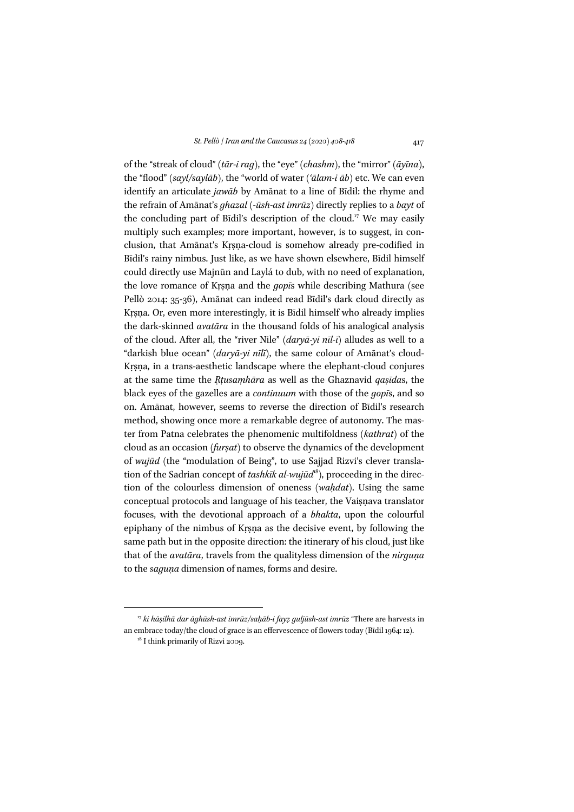of the "streak of cloud" (*tār-i rag*), the "eye" (*chashm*), the "mirror" (*āyīna*), the "flood" (*sayl/saylāb*), the "world of water (*'ālam-i āb*) etc. We can even identify an articulate *jawāb* by Amānat to a line of Bīdil: the rhyme and the refrain of Amānat's *ghazal* (*-ūsh-ast imrūz*) directly replies to a *bayt* of the concluding part of Bidil's description of the cloud.<sup>17</sup> We may easily multiply such examples; more important, however, is to suggest, in conclusion, that Amānat's Kṛṣṇa-cloud is somehow already pre-codified in Bīdil's rainy nimbus. Just like, as we have shown elsewhere, Bīdil himself could directly use Majnūn and Laylá to dub, with no need of explanation, the love romance of Kṛṣṇa and the *gopī*s while describing Mathura (see Pellò 2014: 35-36), Amānat can indeed read Bīdil's dark cloud directly as Kṛṣṇa. Or, even more interestingly, it is Bīdil himself who already implies the dark-skinned *avatāra* in the thousand folds of his analogical analysis of the cloud. After all, the "river Nile" (*daryā-yi nīl-ī*) alludes as well to a "darkish blue ocean" (*daryā-yi nīlī*), the same colour of Amānat's cloud-Kṛṣṇa, in a trans-aesthetic landscape where the elephant-cloud conjures at the same time the *Ṛṭusaṃhāra* as well as the Ghaznavid *qaṣīda*s, the black eyes of the gazelles are a *continuum* with those of the *gopī*s, and so on. Amānat, however, seems to reverse the direction of Bīdil's research method, showing once more a remarkable degree of autonomy. The master from Patna celebrates the phenomenic multifoldness (*kathrat*) of the cloud as an occasion (*furṣat*) to observe the dynamics of the development of *wujūd* (the "modulation of Being", to use Sajjad Rizvi's clever translation of the Sadrian concept of *tashkīk al-wujūd*18), proceeding in the direction of the colourless dimension of oneness (*waḥdat*). Using the same conceptual protocols and language of his teacher, the Vaiṣṇava translator focuses, with the devotional approach of a *bhakta*, upon the colourful epiphany of the nimbus of Kṛṣṇa as the decisive event, by following the same path but in the opposite direction: the itinerary of his cloud, just like that of the *avatāra*, travels from the qualityless dimension of the *nirguṇa* to the *saguṇa* dimension of names, forms and desire.

<sup>17</sup> *ki hāṣilhā dar āghūsh-ast imrūz/saḥāb-i fayẓ guljūsh-ast imrūz* "There are harvests in an embrace today/the cloud of grace is an effervescence of flowers today (Bīdil 1964: 12).

<sup>&</sup>lt;sup>18</sup> I think primarily of Rizvi 2009.